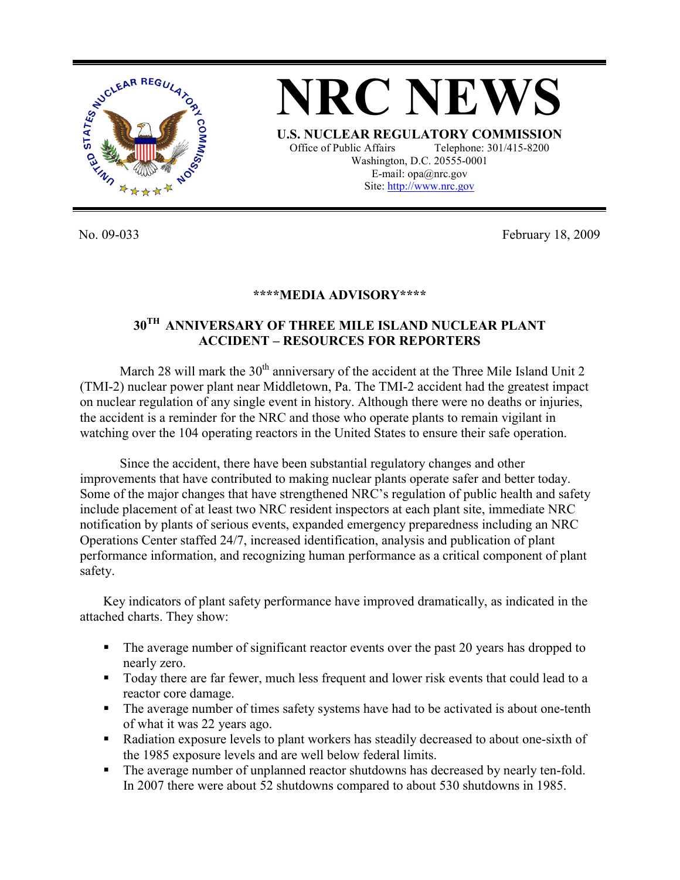

**NRC NEWS U.S. NUCLEAR REGULATORY COMMISSION** Office of Public Affairs Telephone: 301/415-8200 Washington, D.C. 20555-0001 E-mail: opa@nrc.gov Site: http://www.nrc.gov

No. 09-033 February 18, 2009

## **\*\*\*\*MEDIA ADVISORY\*\*\*\***

## **30TH ANNIVERSARY OF THREE MILE ISLAND NUCLEAR PLANT ACCIDENT – RESOURCES FOR REPORTERS**

March 28 will mark the  $30<sup>th</sup>$  anniversary of the accident at the Three Mile Island Unit 2 (TMI-2) nuclear power plant near Middletown, Pa. The TMI-2 accident had the greatest impact on nuclear regulation of any single event in history. Although there were no deaths or injuries, the accident is a reminder for the NRC and those who operate plants to remain vigilant in watching over the 104 operating reactors in the United States to ensure their safe operation.

 Since the accident, there have been substantial regulatory changes and other improvements that have contributed to making nuclear plants operate safer and better today. Some of the major changes that have strengthened NRC's regulation of public health and safety include placement of at least two NRC resident inspectors at each plant site, immediate NRC notification by plants of serious events, expanded emergency preparedness including an NRC Operations Center staffed 24/7, increased identification, analysis and publication of plant performance information, and recognizing human performance as a critical component of plant safety.

Key indicators of plant safety performance have improved dramatically, as indicated in the attached charts. They show:

- The average number of significant reactor events over the past 20 years has dropped to nearly zero.
- Today there are far fewer, much less frequent and lower risk events that could lead to a reactor core damage.
- The average number of times safety systems have had to be activated is about one-tenth of what it was 22 years ago.
- Radiation exposure levels to plant workers has steadily decreased to about one-sixth of the 1985 exposure levels and are well below federal limits.
- The average number of unplanned reactor shutdowns has decreased by nearly ten-fold. In 2007 there were about 52 shutdowns compared to about 530 shutdowns in 1985.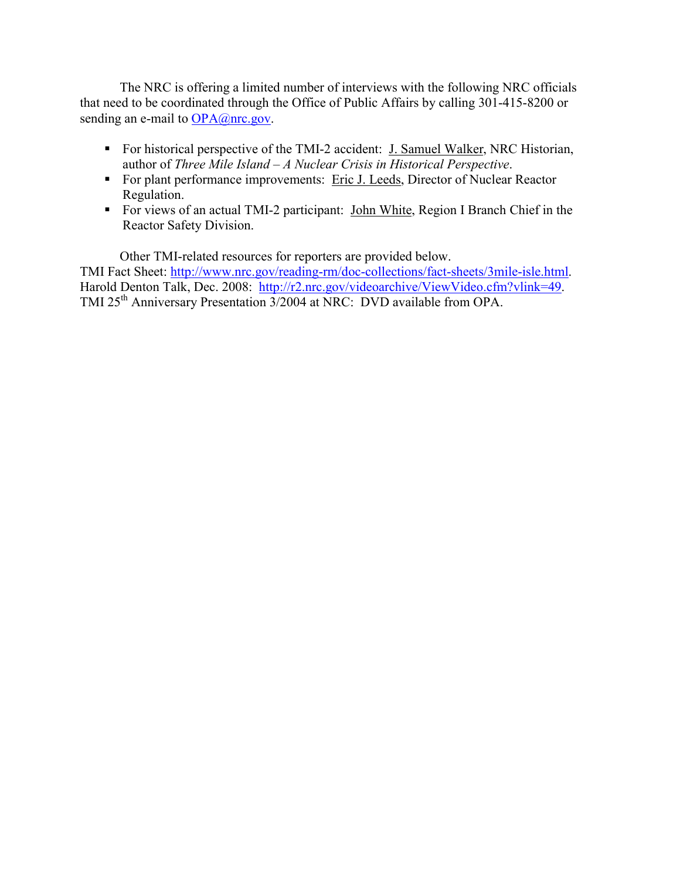The NRC is offering a limited number of interviews with the following NRC officials that need to be coordinated through the Office of Public Affairs by calling 301-415-8200 or sending an e-mail to OPA@nrc.gov.

- For historical perspective of the TMI-2 accident: J. Samuel Walker, NRC Historian, author of *Three Mile Island – A Nuclear Crisis in Historical Perspective*.
- For plant performance improvements: Eric J. Leeds, Director of Nuclear Reactor Regulation.
- For views of an actual TMI-2 participant: John White, Region I Branch Chief in the Reactor Safety Division.

 Other TMI-related resources for reporters are provided below. TMI Fact Sheet: http://www.nrc.gov/reading-rm/doc-collections/fact-sheets/3mile-isle.html. Harold Denton Talk, Dec. 2008: http://r2.nrc.gov/videoarchive/ViewVideo.cfm?vlink=49. TMI 25<sup>th</sup> Anniversary Presentation 3/2004 at NRC: DVD available from OPA.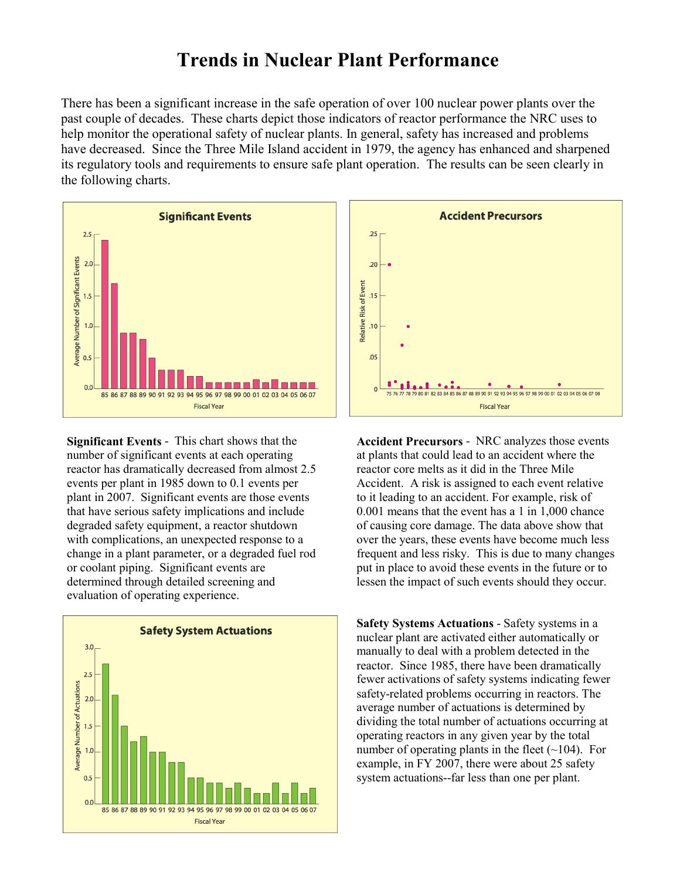## **Trends in Nuclear Plant Performance**

There has been a significant increase in the safe operation of over 100 nuclear power plants over the past couple of decades. These charts depict those indicators of reactor performance the NRC uses to help monitor the operational safety of nuclear plants. In general, safety has increased and problems have decreased. Since the Three Mile Island accident in 1979, the agency has enhanced and sharpened its regulatory tools and requirements to ensure safe plant operation. The results can be seen clearly in the following charts.



**Significant Events** - This chart shows that the number of significant events at each operating reactor has dramatically decreased from almost 2.5 events per plant in 1985 down to 0.1 events per plant in 2007. Significant events are those events that have serious safety implications and include degraded safety equipment, a reactor shutdown with complications, an unexpected response to a change in a plant parameter, or a degraded fuel rod or coolant piping. Significant events are determined through detailed screening and evaluation of operating experience.





**Accident Precursors** - NRC analyzes those events at plants that could lead to an accident where the reactor core melts as it did in the Three Mile Accident. A risk is assigned to each event relative to it leading to an accident. For example, risk of 0.001 means that the event has a 1 in 1,000 chance of causing core damage. The data above show that over the years, these events have become much less frequent and less risky. This is due to many changes put in place to avoid these events in the future or to lessen the impact of such events should they occur.

**Safety Systems Actuations** - Safety systems in a nuclear plant are activated either automatically or manually to deal with a problem detected in the reactor. Since 1985, there have been dramatically fewer activations of safety systems indicating fewer safety-related problems occurring in reactors. The average number of actuations is determined by dividing the total number of actuations occurring at operating reactors in any given year by the total number of operating plants in the fleet  $(\sim 104)$ . For example, in FY 2007, there were about 25 safety system actuations--far less than one per plant.